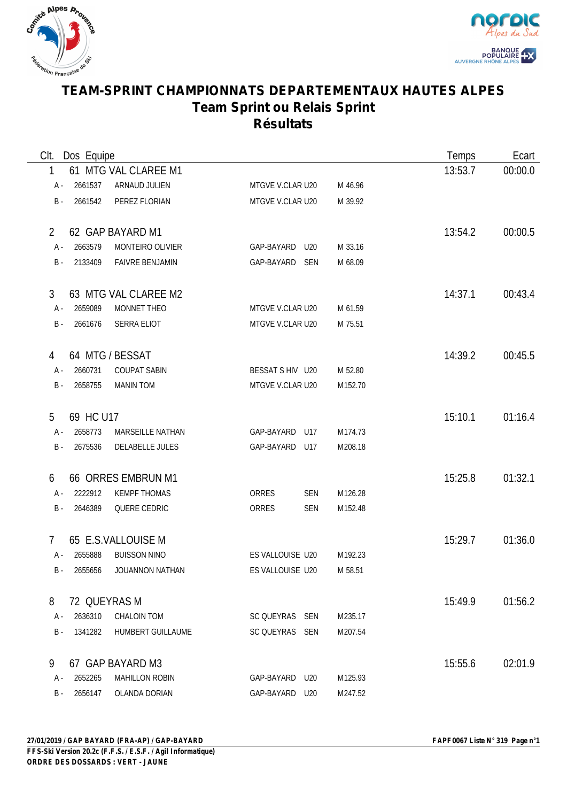



## **TEAM-SPRINT CHAMPIONNATS DEPARTEMENTAUX HAUTES ALPES Team Sprint ou Relais Sprint Résultats**

| Dos Equipe<br>CIt.                         |                            |         | Temps   | Ecart   |
|--------------------------------------------|----------------------------|---------|---------|---------|
| 1<br>61 MTG VAL CLAREE M1                  |                            |         | 13:53.7 | 00:00.0 |
| 2661537<br>ARNAUD JULIEN<br>A -            | MTGVE V.CLAR U20           | M 46.96 |         |         |
| PEREZ FLORIAN<br>$B -$<br>2661542          | MTGVE V.CLAR U20           | M 39.92 |         |         |
| 62 GAP BAYARD M1<br>$\overline{2}$         |                            |         | 13:54.2 | 00:00.5 |
| 2663579<br>MONTEIRO OLIVIER<br>А -         | GAP-BAYARD<br>U20          | M 33.16 |         |         |
| 2133409<br><b>FAIVRE BENJAMIN</b><br>B -   | GAP-BAYARD<br><b>SEN</b>   | M 68.09 |         |         |
| 63 MTG VAL CLAREE M2<br>3                  |                            |         | 14:37.1 | 00:43.4 |
| 2659089<br>MONNET THEO<br>A -              | MTGVE V.CLAR U20           | M 61.59 |         |         |
| 2661676<br>SERRA ELIOT<br>$B -$            | MTGVE V.CLAR U20           | M 75.51 |         |         |
| 64 MTG / BESSAT<br>4                       |                            |         | 14:39.2 | 00:45.5 |
| 2660731<br><b>COUPAT SABIN</b><br>A -      | BESSAT S HIV U20           | M 52.80 |         |         |
| 2658755<br><b>MANIN TOM</b><br>B -         | MTGVE V.CLAR U20           | M152.70 |         |         |
| 69 HC U17<br>5                             |                            |         | 15:10.1 | 01:16.4 |
| 2658773<br>MARSEILLE NATHAN<br>А -         | GAP-BAYARD<br>U17          | M174.73 |         |         |
| <b>DELABELLE JULES</b><br>$B -$<br>2675536 | GAP-BAYARD<br>U17          | M208.18 |         |         |
| 66 ORRES EMBRUN M1<br>6                    |                            |         | 15:25.8 | 01:32.1 |
| 2222912<br><b>KEMPF THOMAS</b><br>А -      | <b>ORRES</b><br><b>SEN</b> | M126.28 |         |         |
| 2646389<br>QUERE CEDRIC<br>B -             | ORRES<br><b>SEN</b>        | M152.48 |         |         |
| 65 E.S.VALLOUISE M<br>7                    |                            |         | 15:29.7 | 01:36.0 |
| <b>BUISSON NINO</b><br>2655888<br>А -      | ES VALLOUISE U20           | M192.23 |         |         |
| $B -$<br>2655656 JOUANNON NATHAN           | ES VALLOUISE U20           | M 58.51 |         |         |
| 72 QUEYRAS M<br>8                          |                            |         | 15:49.9 | 01:56.2 |
| 2636310<br><b>CHALOIN TOM</b><br>A -       | SC QUEYRAS SEN             | M235.17 |         |         |
| 1341282<br>HUMBERT GUILLAUME<br>B -        | SC QUEYRAS SEN             | M207.54 |         |         |
| 9<br>67 GAP BAYARD M3                      |                            |         | 15:55.6 | 02:01.9 |
| 2652265<br><b>MAHILLON ROBIN</b><br>A -    | GAP-BAYARD<br>U20          | M125.93 |         |         |
| 2656147<br>OLANDA DORIAN<br>B -            | GAP-BAYARD U20             | M247.52 |         |         |